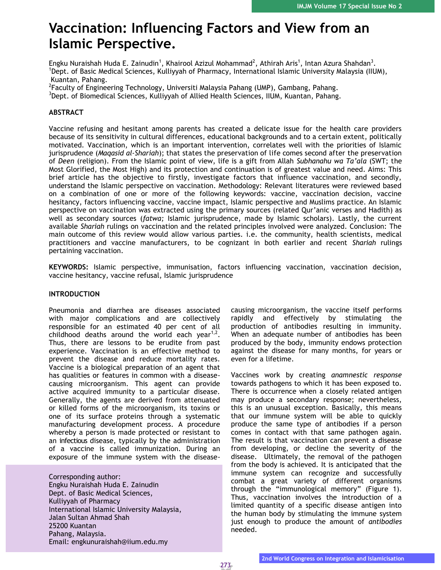# **Vaccination: Influencing Factors and View from an Islamic Perspective.**

Engku Nuraishah Huda E. Zainudin<sup>1</sup>, Khairool Azizul Mohammad<sup>2</sup>, Athirah Aris<sup>1</sup>, Intan Azura Shahdan<sup>3</sup>. <sup>1</sup>Dept. of Basic Medical Sciences, Kulliyyah of Pharmacy, International Islamic University Malaysia (IIUM), Kuantan, Pahang.

<sup>2</sup>Faculty of Engineering Technology, Universiti Malaysia Pahang (UMP), Gambang, Pahang. <sup>3</sup>Dept. of Biomedical Sciences, Kulliyyah of Allied Health Sciences, IIUM, Kuantan, Pahang.

# **ABSTRACT**

Vaccine refusing and hesitant among parents has created a delicate issue for the health care providers because of its sensitivity in cultural differences, educational backgrounds and to a certain extent, politically motivated. Vaccination, which is an important intervention, correlates well with the priorities of Islamic jurisprudence (*Maqasid al-Shariah*); that states the preservation of life comes second after the preservation of *Deen* (religion). From the Islamic point of view, life is a gift from Allah *Subhanahu wa Ta'ala* (SWT; the Most Glorified, the Most High) and its protection and continuation is of greatest value and need. Aims: This brief article has the objective to firstly, investigate factors that influence vaccination, and secondly, understand the Islamic perspective on vaccination. Methodology: Relevant literatures were reviewed based on a combination of one or more of the following keywords: vaccine, vaccination decision, vaccine hesitancy, factors influencing vaccine, vaccine impact, Islamic perspective and Muslims practice. An Islamic perspective on vaccination was extracted using the primary sources (related Qur'anic verses and Hadith) as well as secondary sources (*fatwa;* Islamic jurisprudence, made by Islamic scholars). Lastly, the current available *Shariah* rulings on vaccination and the related principles involved were analyzed. Conclusion: The main outcome of this review would allow various parties. i.e. the community, health scientists, medical practitioners and vaccine manufacturers, to be cognizant in both earlier and recent *Shariah* rulings pertaining vaccination.

**KEYWORDS:** Islamic perspective, immunisation, factors influencing vaccination, vaccination decision, vaccine hesitancy, vaccine refusal, Islamic jurisprudence

# **INTRODUCTION**

Pneumonia and diarrhea are diseases associated with major complications and are collectively responsible for an estimated 40 per cent of all childhood deaths around the world each year $1,2$ . Thus, there are lessons to be erudite from past experience. Vaccination is an effective method to prevent the disease and reduce mortality rates. Vaccine is a biological preparation of an agent that has qualities or features in common with a diseasecausing microorganism. This agent can provide active acquired immunity to a particular disease. Generally, the agents are derived from attenuated or killed forms of the microorganism, its toxins or one of its surface proteins through a systematic manufacturing development process. A procedure whereby a person is made protected or resistant to an infectious disease, typically by the administration of a vaccine is called immunization. During an exposure of the immune system with the disease-

Corresponding author: Engku Nuraishah Huda E. Zainudin Dept. of Basic Medical Sciences, Kulliyyah of Pharmacy International Islamic University Malaysia, Jalan Sultan Ahmad Shah 25200 Kuantan Pahang, Malaysia. Email: [engkunuraishah@iium.edu.my](mailto:engkunuraishah@iium.edu.my)

causing microorganism, the vaccine itself performs rapidly and effectively by stimulating the production of antibodies resulting in immunity. When an adequate number of antibodies has been produced by the body, immunity endows protection against the disease for many months, for years or even for a lifetime.

Vaccines work by creating *anamnestic response* towards pathogens to which it has been exposed to. There is occurrence when a closely related antigen may produce a secondary response; nevertheless, this is an unusual exception. Basically, this means that our immune system will be able to quickly produce the same type of antibodies if a person comes in contact with that same pathogen again. The result is that vaccination can prevent a disease from developing, or decline the severity of the disease. Ultimately, the removal of the pathogen from the body is achieved. It is anticipated that the immune system can recognize and successfully combat a great variety of different organisms through the "immunological memory" (Figure 1). Thus, vaccination involves the introduction of a limited quantity of a specific disease antigen into the human body by stimulating the immune system just enough to produce the amount of *antibodies*  needed.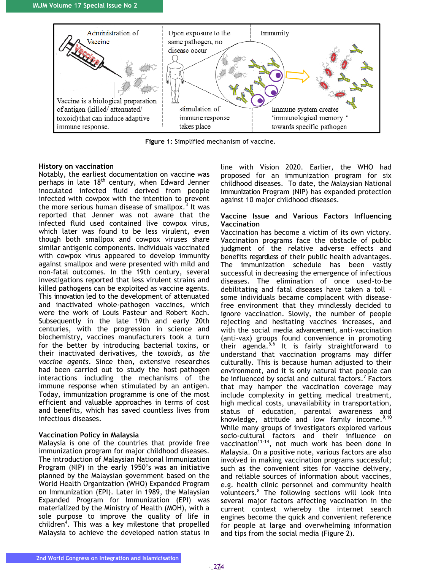

**Figure 1**: Simplified mechanism of vaccine.

#### **History on vaccination**

Notably, the earliest documentation on vaccine was perhaps in late  $18<sup>th</sup>$  century, when Edward Jenner inoculated infected fluid derived from people infected with cowpox with the intention to prevent the more serious human disease of smallpox.<sup>3</sup> It was reported that Jenner was not aware that the infected fluid used contained live cowpox virus, which later was found to be less virulent, even though both smallpox and cowpox viruses share similar antigenic components. Individuals vaccinated with cowpox virus appeared to develop immunity against smallpox and were presented with mild and non-fatal outcomes. In the 19th century, several investigations reported that less virulent strains and killed pathogens can be exploited as vaccine agents. This innovation led to the development of attenuated and inactivated whole-pathogen vaccines, which were the work of Louis Pasteur and Robert Koch. Subsequently in the late 19th and early 20th centuries, with the progression in science and biochemistry, vaccines manufacturers took a turn for the better by introducing bacterial toxins, or their inactivated derivatives, the *toxoids, as the vaccine agents*. Since then, extensive researches had been carried out to study the host–pathogen interactions including the mechanisms of the immune response when stimulated by an antigen. Today, immunization programme is one of the most efficient and valuable approaches in terms of cost and benefits, which has saved countless lives from infectious diseases.

#### **Vaccination Policy in Malaysia**

Malaysia is one of the countries that provide free immunization program for major childhood diseases. The introduction of Malaysian National Immunization Program (NIP) in the early 1950's was an initiative planned by the Malaysian government based on the World Health Organization (WHO) Expanded Program on Immunization (EPI). Later in 1989, the Malaysian Expanded Program for Immunization (EPI) was materialized by the Ministry of Health (MOH), with a sole purpose to improve the quality of life in children<sup>4</sup>. This was a key milestone that propelled Malaysia to achieve the developed nation status in

line with Vision 2020. Earlier, the WHO had proposed for an immunization program for six childhood diseases. To date, the Malaysian National Immunization Program (NIP) has expanded protection against 10 major childhood diseases.

#### **Vaccine Issue and Various Factors Influencing Vaccination**

Vaccination has become a victim of its own victory. Vaccination programs face the obstacle of public judgment of the relative adverse effects and benefits regardless of their public health advantages. The immunization schedule has been vastly successful in decreasing the emergence of infectious diseases. The elimination of once used-to-be debilitating and fatal diseases have taken a toll – some individuals became complacent with diseasefree environment that they mindlessly decided to ignore vaccination. Slowly, the number of people rejecting and hesitating vaccines increases, and with the social media advancement, anti-vaccination (anti-vax) groups found convenience in promoting their agenda.<sup>5,6</sup> It is fairly straightforward to understand that vaccination programs may differ culturally. This is because human adjusted to their environment, and it is only natural that people can be influenced by social and cultural factors.<sup>7</sup> Factors that may hamper the vaccination coverage may include complexity in getting medical treatment, high medical costs, unavailability in transportation, status of education, parental awareness and knowledge, attitude and low family income. $9,10$ While many groups of investigators explored various socio-cultural factors and their influence on vaccination<sup>11-14</sup>, not much work has been done in Malaysia. On a positive note, various factors are also involved in making vaccination programs successful; such as the convenient sites for vaccine delivery, and reliable sources of information about vaccines, e.g. health clinic personnel and community health volunteers.<sup>8</sup> The following sections will look into several major factors affecting vaccination in the current context whereby the internet search engines become the quick and convenient reference for people at large and overwhelming information and tips from the social media (Figure 2).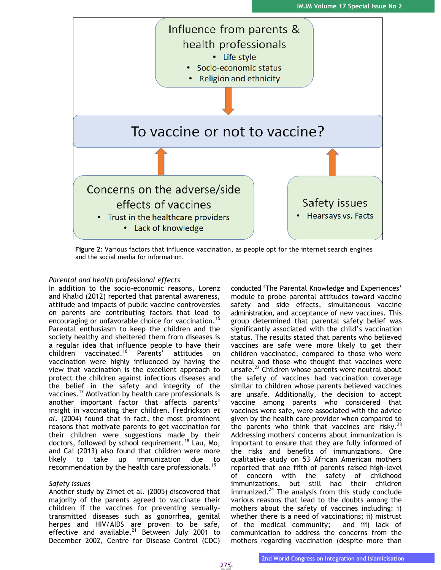

**Figure 2**: Various factors that influence vaccination, as people opt for the internet search engines and the social media for information.

### *Parental and health professional effects*

In addition to the socio-economic reasons, Lorenz and Khalid (2012) reported that parental awareness, attitude and impacts of public vaccine controversies on parents are contributing factors that lead to encouraging or unfavorable choice for vaccination.<sup>15</sup> Parental enthusiasm to keep the children and the society healthy and sheltered them from diseases is a regular idea that influence people to have their children vaccinated.<sup>16</sup> Parents' attitudes on vaccination were highly influenced by having the view that vaccination is the excellent approach to protect the children against infectious diseases and the belief in the safety and integrity of the vaccines.<sup>17</sup> Motivation by health care professionals is another important factor that affects parents' insight in vaccinating their children. Fredrickson *et al.* (2004) found that in fact, the most prominent reasons that motivate parents to get vaccination for their children were suggestions made by their doctors, followed by school requirement.<sup>18</sup> Lau, Mo, and Cai (2013) also found that children were more likely to take up immunization due to recommendation by the health care professionals.<sup>19</sup>

#### *Safety issues*

Another study by Zimet et al. (2005) discovered that majority of the parents agreed to vaccinate their children if the vaccines for preventing sexuallytransmitted diseases such as gonorrhea, genital herpes and HIV/AIDS are proven to be safe, effective and available.<sup>21</sup> Between July 2001 to December 2002, Centre for Disease Control (CDC)

conducted 'The Parental Knowledge and Experiences' module to probe parental attitudes toward vaccine safety and side effects, simultaneous vaccine administration, and acceptance of new vaccines. This group determined that parental safety belief was significantly associated with the child's vaccination status. The results stated that parents who believed vaccines are safe were more likely to get their children vaccinated, compared to those who were neutral and those who thought that vaccines were unsafe.<sup>22</sup> Children whose parents were neutral about the safety of vaccines had vaccination coverage similar to children whose parents believed vaccines are unsafe. Additionally, the decision to accept vaccine among parents who considered that vaccines were safe, were associated with the advice given by the health care provider when compared to the parents who think that vaccines are risky. $^{23}$ Addressing mothers' concerns about immunization is important to ensure that they are fully informed of the risks and benefits of immunizations. One qualitative study on 53 African American mothers reported that one fifth of parents raised high-level of concern with the safety of childhood immunizations, but still had their children immunized. $^{24}$  The analysis from this study conclude various reasons that lead to the doubts among the mothers about the safety of vaccines including: i) whether there is a need of vaccinations; ii) mistrust of the medical community; and iii) lack of communication to address the concerns from the mothers regarding vaccination (despite more than

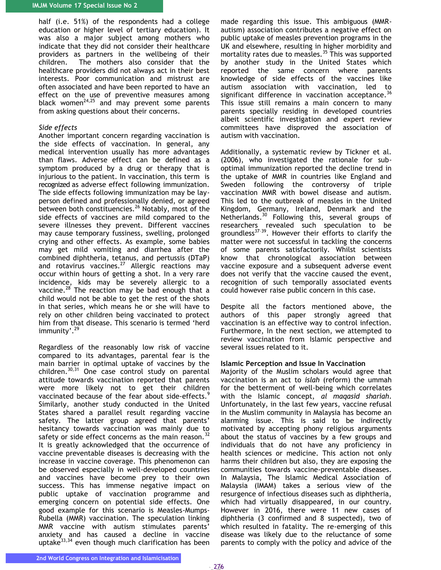half (i.e. 51%) of the respondents had a college education or higher level of tertiary education). It was also a major subject among mothers who indicate that they did not consider their healthcare providers as partners in the wellbeing of their children. The mothers also consider that the healthcare providers did not always act in their best interests. Poor communication and mistrust are often associated and have been reported to have an effect on the use of preventive measures among black women $24,25$  and may prevent some parents from asking questions about their concerns.

#### *Side effects*

Another important concern regarding vaccination is the side effects of vaccination. In general, any medical intervention usually has more advantages than flaws. Adverse effect can be defined as a symptom produced by a drug or therapy that is injurious to the patient. In vaccination, this term is recognized as adverse effect following immunization. The side effects following immunization may be layperson defined and professionally denied, or agreed between both constituencies.<sup>26</sup> Notably, most of the side effects of vaccines are mild compared to the severe illnesses they prevent. Different vaccines may cause temporary fussiness, swelling, prolonged crying and other effects. As example, some babies may get mild vomiting and diarrhea after the combined diphtheria, tetanus, and pertussis (DTaP) and rotavirus vaccines.<sup>27</sup> Allergic reactions may occur within hours of getting a shot. In a very rare incidence, kids may be severely allergic to a vaccine.<sup>28</sup> The reaction may be bad enough that a child would not be able to get the rest of the shots in that series, which means he or she will have to rely on other children being vaccinated to protect him from that disease. This scenario is termed 'herd immunity'.<sup>29</sup>

Regardless of the reasonably low risk of vaccine compared to its advantages, parental fear is the main barrier in optimal uptake of vaccines by the children.30,31 One case control study on parental attitude towards vaccination reported that parents were more likely not to get their children vaccinated because of the fear about side-effects.<sup>9</sup> Similarly, another study conducted in the United States shared a parallel result regarding vaccine safety. The latter group agreed that parents' hesitancy towards vaccination was mainly due to safety or side effect concerns as the main reason. $32$ It is greatly acknowledged that the occurrence of vaccine preventable diseases is decreasing with the increase in vaccine coverage. This phenomenon can be observed especially in well-developed countries and vaccines have become prey to their own success. This has immense negative impact on public uptake of vaccination programme and emerging concern on potential side effects. One good example for this scenario is Measles-Mumps-Rubella (MMR) vaccination. The speculation linking MMR vaccine with autism stimulates parents' anxiety and has caused a decline in vaccine uptake $33,34$  even though much clarification has been

made regarding this issue. This ambiguous (MMRautism) association contributes a negative effect on public uptake of measles prevention programs in the UK and elsewhere, resulting in higher morbidity and mortality rates due to measles.<sup>35</sup> This was supported by another study in the United States which reported the same concern where parents knowledge of side effects of the vaccines like autism association with vaccination, led to significant difference in vaccination acceptance.<sup>36</sup> This issue still remains a main concern to many parents specially residing in developed countries albeit scientific investigation and expert review committees have disproved the association of autism with vaccination.

Additionally, a systematic review by Tickner et al. (2006), who investigated the rationale for suboptimal immunization reported the decline trend in the uptake of MMR in countries like England and Sweden following the controversy of triple vaccination MMR with bowel disease and autism. This led to the outbreak of measles in the United Kingdom, Germany, Ireland, Denmark and the Netherlands.<sup>30</sup> Following this, several groups of researchers revealed such speculation to be groundless $37-39$ . However their efforts to clarify the matter were not successful in tackling the concerns of some parents satisfactorily. Whilst scientists know that chronological association between vaccine exposure and a subsequent adverse event does not verify that the vaccine caused the event, recognition of such temporally associated events could however raise public concern in this case.

Despite all the factors mentioned above, the authors of this paper strongly agreed that vaccination is an effective way to control infection. Furthermore, In the next section, we attempted to review vaccination from Islamic perspective and several issues related to it.

#### **Islamic Perception and Issue In Vaccination**

Majority of the Muslim scholars would agree that vaccination is an act to *islah* (reform) the ummah for the betterment of well-being which correlates with the Islamic concept, *al maqasid shariah*. Unfortunately, in the last few years, vaccine refusal in the Muslim community in Malaysia has become an alarming issue. This is said to be indirectly motivated by accepting phony religious arguments about the status of vaccines by a few groups and individuals that do not have any proficiency in health sciences or medicine. This action not only harms their children but also, they are exposing the communities towards vaccine-preventable diseases. In Malaysia, The Islamic Medical Association of Malaysia (IMAM) takes a serious view of the resurgence of infectious diseases such as diphtheria, which had virtually disappeared, in our country. However in 2016, there were 11 new cases of diphtheria (3 confirmed and 8 suspected), two of which resulted in fatality. The re-emerging of this disease was likely due to the reluctance of some parents to comply with the policy and advice of the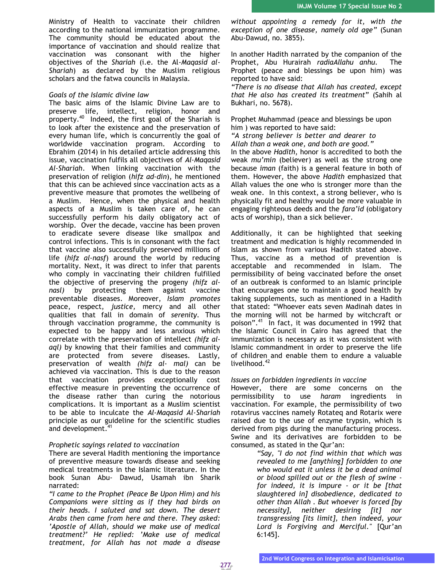Ministry of Health to vaccinate their children according to the national immunization programme. The community should be educated about the importance of vaccination and should realize that vaccination was consonant with the higher objectives of the *Shariah* (i.e. the Al-*Maqasid al-Shariah*) as declared by the Muslim religious scholars and the fatwa councils in Malaysia.

#### *Goals of the Islamic divine law*

The basic aims of the Islamic Divine Law are to preserve life, intellect, religion, honor and property.<sup>40</sup> Indeed, the first goal of the Shariah is to look after the existence and the preservation of every human life, which is concurrently the goal of worldwide vaccination program. According to Ebrahim (2014) in his detailed article addressing this issue, vaccination fulfils all objectives of *Al-Maqasid Al-Shariah*. When linking vaccination with the preservation of religion (*hifz ad-din*), he mentioned that this can be achieved since vaccination acts as a preventive measure that promotes the wellbeing of a Muslim. Hence, when the physical and health aspects of a Muslim is taken care of, he can successfully perform his daily obligatory act of worship. Over the decade, vaccine has been proven to eradicate severe disease like smallpox and control infections. This is in consonant with the fact that vaccine also successfully preserved millions of life (*hifz al-nasf*) around the world by reducing mortality. Next, it was direct to infer that parents who comply in vaccinating their children fulfilled the objective of preserving the progeny *(hifz alnasl)* by protecting them against vaccine preventable diseases. Moreover, *Islam promotes*  peace, respect, *justice,* mercy and all other qualities that fall in domain of *serenity.* Thus through vaccination programme, the community is expected to be happy and less anxious which correlate with the preservation of intellect *(hifz alaql)* by knowing that their families and community are protected from severe diseases. Lastly, preservation of wealth *(hifz al- mal)* can be achieved via vaccination. This is due to the reason that vaccination provides exceptionally cost effective measure in preventing the occurrence of the disease rather than curing the notorious complications. It is important as a Muslim scientist to be able to inculcate the *Al-Maqasid Al-Shariah* principle as our guideline for the scientific studies and development.<sup>41</sup>

# *Prophetic sayings related to vaccination*

There are several Hadith mentioning the importance of preventive measure towards disease and seeking medical treatments in the Islamic literature. In the book Sunan Abu- Dawud, Usamah ibn Sharik narrated:

*"I came to the Prophet (Peace Be Upon Him) and his Companions were sitting as if they had birds on their heads. I saluted and sat down. The desert Arabs then came from here and there. They asked: 'Apostle of Allah, should we make use of medical treatment?' He replied: 'Make use of medical treatment, for Allah has not made a disease*  *without appointing a remedy for it, with the exception of one disease, namely old age"* (Sunan Abu-Dawud, no. 3855).

In another Hadith narrated by the companion of the Prophet, Abu Hurairah *radiaAllahu anhu.* The Prophet (peace and blessings be upon him) was reported to have said:

*"There is no disease that Allah has created, except that He also has created its treatment*" (Sahih al Bukhari, no. 5678).

Prophet Muhammad (peace and blessings be upon him ) was reported to have said:

*"A strong believer is better and dearer to Allah than a weak one, and both are good."* 

In the above *Hadith*, honor is accredited to both the weak *mu'min* (believer) as well as the strong one because *iman* (faith) is a general feature in both of them. However, the above *Hadith* emphasized that Allah values the one who is stronger more than the weak one. In this context, a strong believer, who is physically fit and healthy would be more valuable in engaging righteous deeds and the *fara'id* (obligatory acts of worship), than a sick believer.

Additionally, it can be highlighted that seeking treatment and medication is highly recommended in Islam as shown from various Hadith stated above. Thus, vaccine as a method of prevention is acceptable and recommended in Islam. The permissibility of being vaccinated before the onset of an outbreak is conformed to an Islamic principle that encourages one to maintain a good health by taking supplements, such as mentioned in a Hadith that stated: "Whoever eats seven Madinah dates in the morning will not be harmed by witchcraft or poison".<sup>41</sup> In fact, it was documented in 1992 that the Islamic Council in Cairo has agreed that the immunization is necessary as it was consistent with Islamic commandment in order to preserve the life of children and enable them to endure a valuable livelihood.<sup>42</sup>

# *Issues on forbidden ingredients in vaccine*

However, there are some concerns on the permissibility to use *haram* ingredients in vaccination. For example, the permissibility of two rotavirus vaccines namely Rotateq and Rotarix were raised due to the use of enzyme trypsin, which is derived from pigs during the manufacturing process. Swine and its derivatives are forbidden to be consumed, as stated in the Qur'an:

> *"Say, "I do not find within that which was revealed to me [anything] forbidden to one who would eat it unless it be a dead animal or blood spilled out or the flesh of swine for indeed, it is impure - or it be [that slaughtered in] disobedience, dedicated to other than Allah . But whoever is forced [by necessity], neither desiring [it] nor transgressing [its limit], then indeed, your Lord is Forgiving and Merciful."* [Qur'an 6:145].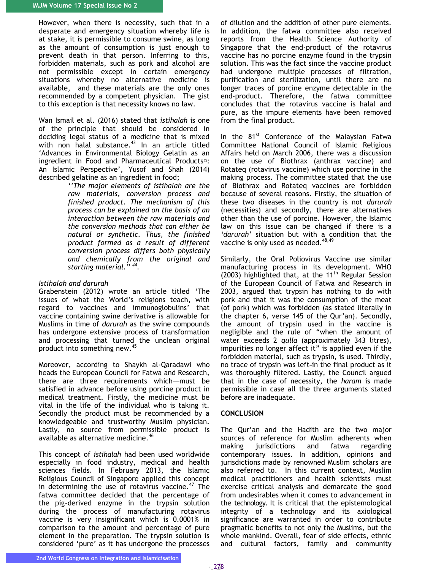However, when there is necessity, such that in a desperate and emergency situation whereby life is at stake, it is permissible to consume swine, as long as the amount of consumption is just enough to prevent death in that person. Inferring to this, forbidden materials, such as pork and alcohol are not permissible except in certain emergency situations whereby no alternative medicine is available, and these materials are the only ones recommended by a competent physician. The gist to this exception is that necessity knows no law.

Wan Ismail et al. (2016) stated that *istihalah* is one of the principle that should be considered in deciding legal status of a medicine that is mixed with non halal substance.<sup>43</sup> In an article titled 'Advances in Environmental Biology Gelatin as an ingredient in Food and Pharmaceutical Products<sup>¤</sup>: An Islamic Perspective', Yusof and Shah (2014) described gelatine as an ingredient in food;

*''The major elements of istihalah are the raw materials, conversion process and finished product. The mechanism of this process can be explained on the basis of an interaction between the raw materials and the conversion methods that can either be natural or synthetic. Thus, the finished product formed as a result of different conversion process differs both physically and chemically from the original and starting material." <sup>44</sup> .*

#### *Istihalah and darurah*

Grabenstein (2012) wrote an article titled 'The issues of what the World's religions teach, with regard to vaccines and immunoglobulins' that vaccine containing swine derivative is allowable for Muslims in time of *darurah* as the swine compounds has undergone extensive process of transformation and processing that turned the unclean original product into something new.<sup>45</sup>

Moreover, according to Shaykh al-Qaradawi who heads the European Council for Fatwa and Research, there are three requirements which—must be satisfied in advance before using porcine product in medical treatment. Firstly, the medicine must be vital in the life of the individual who is taking it. Secondly the product must be recommended by a knowledgeable and trustworthy Muslim physician. Lastly, no source from permissible product is available as alternative medicine.<sup>46</sup>

This concept of *istihalah* had been used worldwide especially in food industry, medical and health sciences fields. In February 2013, the Islamic Religious Council of Singapore applied this concept in determining the use of rotavirus vaccine. $47$  The fatwa committee decided that the percentage of the pig-derived enzyme in the trypsin solution during the process of manufacturing rotavirus vaccine is very insignificant which is 0.0001% in comparison to the amount and percentage of pure element in the preparation. The trypsin solution is considered 'pure' as it has undergone the processes

of dilution and the addition of other pure elements. In addition, the fatwa committee also received reports from the Health Science Authority of Singapore that the end-product of the rotavirus vaccine has no porcine enzyme found in the trypsin solution. This was the fact since the vaccine product had undergone multiple processes of filtration, purification and sterilization, until there are no longer traces of porcine enzyme detectable in the end-product. Therefore, the fatwa committee concludes that the rotavirus vaccine is halal and pure, as the impure elements have been removed from the final product.

In the 81<sup>st</sup> Conference of the Malaysian Fatwa Committee National Council of Islamic Religious Affairs held on March 2006, there was a discussion on the use of Biothrax (anthrax vaccine) and Rotateq (rotavirus vaccine) which use porcine in the making process. The committee stated that the use of Biothrax and Rotateq vaccines are forbidden because of several reasons. Firstly, the situation of these two diseases in the country is not *darurah* (necessities) and secondly, there are alternatives other than the use of porcine. However, the Islamic law on this issue can be changed if there is a *'darurah'* situation but with a condition that the vaccine is only used as needed.<sup>48,49</sup>

Similarly, the Oral Poliovirus Vaccine use similar manufacturing process in its development. WHO (2003) highlighted that, at the 11<sup>th</sup> Regular Session of the European Council of Fatwa and Research in 2003, argued that trypsin has nothing to do with pork and that it was the consumption of the meat (of pork) which was forbidden (as stated literally in the chapter 6, verse 145 of the Qur'an). Secondly, the amount of trypsin used in the vaccine is negligible and the rule of "when the amount of water exceeds 2 *qulla* (approximately 343 litres), impurities no longer affect it" is applied even if the forbidden material, such as trypsin, is used. Thirdly, no trace of trypsin was left-in the final product as it was thoroughly filtered. Lastly, the Council argued that in the case of necessity, the *haram* is made permissible in case all the three arguments stated before are inadequate.

# **CONCLUSION**

The Qur'an and the Hadith are the two major sources of reference for Muslim adherents when making jurisdictions and fatwa regarding contemporary issues. In addition, opinions and jurisdictions made by renowned Muslim scholars are also referred to. In this current context, Muslim medical practitioners and health scientists must exercise critical analysis and demarcate the good from undesirables when it comes to advancement in the technology. It is critical that the epistemological integrity of a technology and its axiological significance are warranted in order to contribute pragmatic benefits to not only the Muslims, but the whole mankind. Overall, fear of side effects, ethnic and cultural factors, family and community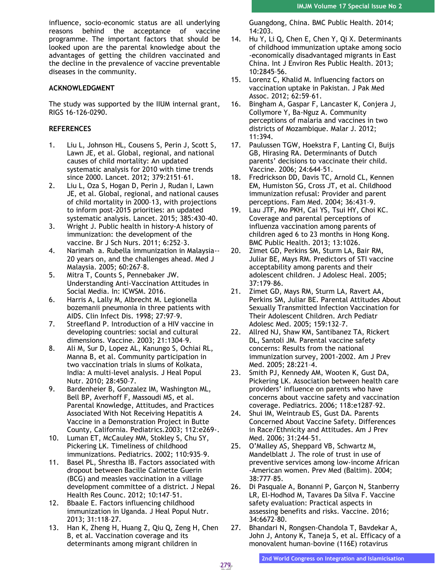influence, socio-economic status are all underlying reasons behind the acceptance of vaccine programme. The important factors that should be looked upon are the parental knowledge about the advantages of getting the children vaccinated and the decline in the prevalence of vaccine preventable diseases in the community.

# **ACKNOWLEDGMENT**

The study was supported by the IIUM internal grant, RIGS 16-126-0290.

# **REFERENCES**

- 1. Liu L, Johnson HL, Cousens S, Perin J, Scott S, Lawn JE, et al. Global, regional, and national causes of child mortality: An updated systematic analysis for 2010 with time trends since 2000. Lancet. 2012; 379:2151–61.
- 2. Liu L, Oza S, Hogan D, Perin J, Rudan I, Lawn JE, et al. Global, regional, and national causes of child mortality in 2000–13, with projections to inform post-2015 priorities: an updated systematic analysis. Lancet. 2015; 385:430–40.
- 3. Wright J. Public health in history-A history of immunization: the development of the vaccine. Br J Sch Nurs. 2011; 6:252–3.
- 4. Narimah a. Rubella immunization in Malaysia-- 20 years on, and the challenges ahead. Med J Malaysia. 2005; 60:267–8.
- 5. Mitra T, Counts S, Pennebaker JW. Understanding Anti-Vaccination Attitudes in Social Media. In: ICWSM. 2016.
- 6. Harris A, Lally M, Albrecht M. Legionella bozemanii pneumonia in three patients with AIDS. Clin Infect Dis. 1998; 27:97–9.
- 7. Streefland P. Introduction of a HIV vaccine in developing countries: social and cultural dimensions. Vaccine. 2003; 21:1304–9.
- 8. Ali M, Sur D, Lopez AL, Kanungo S, Ochiai RL, Manna B, et al. Community participation in two vaccination trials in slums of Kolkata, India: A multi-level analysis. J Heal Popul Nutr. 2010; 28:450–7.
- 9. Bardenheier B, Gonzalez IM, Washington ML, Bell BP, Averhoff F, Massoudi MS, et al. Parental Knowledge, Attitudes, and Practices Associated With Not Receiving Hepatitis A Vaccine in a Demonstration Project in Butte County, California. Pediatrics.2003; 112:e269-.
- 10. Luman ET, McCauley MM, Stokley S, Chu SY, Pickering LK. Timeliness of childhood immunizations. Pediatrics. 2002; 110:935–9.
- 11. Basel PL, Shrestha IB. Factors associated with dropout between Bacille Calmette Guerin (BCG) and measles vaccination in a village development committee of a district. J Nepal Health Res Counc. 2012; 10:147–51.
- 12. Bbaale E. Factors influencing childhood immunization in Uganda. J Heal Popul Nutr. 2013; 31:118–27.
- 13. Han K, Zheng H, Huang Z, Qiu Q, Zeng H, Chen B, et al. Vaccination coverage and its determinants among migrant children in

Guangdong, China. BMC Public Health. 2014; 14:203.

- 14. Hu Y, Li Q, Chen E, Chen Y, Qi X. Determinants of childhood immunization uptake among socio -economically disadvantaged migrants in East China. Int J Environ Res Public Health. 2013; 10:2845–56.
- 15. Lorenz C, Khalid M. Influencing factors on vaccination uptake in Pakistan. J Pak Med Assoc. 2012; 62:59–61.
- 16. Bingham A, Gaspar F, Lancaster K, Conjera J, Collymore Y, Ba-Nguz A. Community perceptions of malaria and vaccines in two districts of Mozambique. Malar J. 2012; 11:394.
- 17. Paulussen TGW, Hoekstra F, Lanting CI, Buijs GB, Hirasing RA. Determinants of Dutch parents' decisions to vaccinate their child. Vaccine. 2006; 24:644–51.
- 18. Fredrickson DD, Davis TC, Arnold CL, Kennen EM, Humiston SG, Cross JT, et al. Childhood immunization refusal: Provider and parent perceptions. Fam Med. 2004; 36:431–9.
- 19. Lau JTF, Mo PKH, Cai YS, Tsui HY, Choi KC. Coverage and parental perceptions of influenza vaccination among parents of children aged 6 to 23 months in Hong Kong. BMC Public Health. 2013; 13:1026.
- 20. Zimet GD, Perkins SM, Sturm LA, Bair RM, Juliar BE, Mays RM. Predictors of STI vaccine acceptability among parents and their adolescent children. J Adolesc Heal. 2005; 37:179–86.
- 21. Zimet GD, Mays RM, Sturm LA, Ravert AA, Perkins SM, Juliar BE. Parental Attitudes About Sexually Transmitted Infection Vaccination for Their Adolescent Children. Arch Pediatr Adolesc Med. 2005; 159:132–7.
- 22. Allred NJ, Shaw KM, Santibanez TA, Rickert DL, Santoli JM. Parental vaccine safety concerns: Results from the national immunization survey, 2001-2002. Am J Prev Med. 2005; 28:221–4.
- 23. Smith PJ, Kennedy AM, Wooten K, Gust DA, Pickering LK. Association between health care providers' influence on parents who have concerns about vaccine safety and vaccination coverage. Pediatrics. 2006; 118:e1287–92.
- 24. Shui IM, Weintraub ES, Gust DA. Parents Concerned About Vaccine Safety. Differences in Race/Ethnicity and Attitudes. Am J Prev Med. 2006; 31:244–51.
- 25. O'Malley AS, Sheppard VB, Schwartz M, Mandelblatt J. The role of trust in use of preventive services among low-income African -American women. Prev Med (Baltim). 2004; 38:777–85.
- 26. Di Pasquale A, Bonanni P, Garçon N, Stanberry LR, El-Hodhod M, Tavares Da Silva F. Vaccine safety evaluation: Practical aspects in assessing benefits and risks. Vaccine. 2016; 34:6672–80.
- 27. Bhandari N, Rongsen-Chandola T, Bavdekar A, John J, Antony K, Taneja S, et al. Efficacy of a monovalent human-bovine (116E) rotavirus